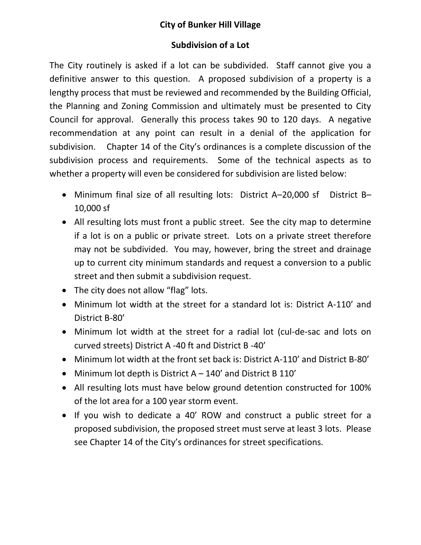## **City of Bunker Hill Village**

## **Subdivision of a Lot**

The City routinely is asked if a lot can be subdivided. Staff cannot give you a definitive answer to this question. A proposed subdivision of a property is a lengthy process that must be reviewed and recommended by the Building Official, the Planning and Zoning Commission and ultimately must be presented to City Council for approval. Generally this process takes 90 to 120 days. A negative recommendation at any point can result in a denial of the application for subdivision. Chapter 14 of the City's ordinances is a complete discussion of the subdivision process and requirements. Some of the technical aspects as to whether a property will even be considered for subdivision are listed below:

- Minimum final size of all resulting lots: District A–20,000 sf District B– 10,000 sf
- All resulting lots must front a public street. See the city map to determine if a lot is on a public or private street. Lots on a private street therefore may not be subdivided. You may, however, bring the street and drainage up to current city minimum standards and request a conversion to a public street and then submit a subdivision request.
- The city does not allow "flag" lots.
- Minimum lot width at the street for a standard lot is: District A-110' and District B-80'
- Minimum lot width at the street for a radial lot (cul-de-sac and lots on curved streets) District A -40 ft and District B -40'
- Minimum lot width at the front set back is: District A-110' and District B-80'
- Minimum lot depth is District A 140' and District B 110'
- All resulting lots must have below ground detention constructed for 100% of the lot area for a 100 year storm event.
- If you wish to dedicate a 40' ROW and construct a public street for a proposed subdivision, the proposed street must serve at least 3 lots. Please see Chapter 14 of the City's ordinances for street specifications.